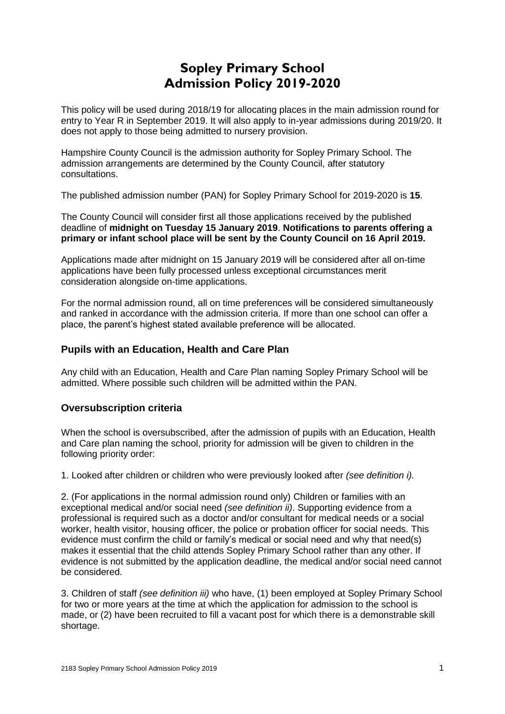# **Sopley Primary School Admission Policy 2019-2020**

This policy will be used during 2018/19 for allocating places in the main admission round for entry to Year R in September 2019. It will also apply to in-year admissions during 2019/20. It does not apply to those being admitted to nursery provision.

Hampshire County Council is the admission authority for Sopley Primary School. The admission arrangements are determined by the County Council, after statutory consultations.

The published admission number (PAN) for Sopley Primary School for 2019-2020 is **15**.

The County Council will consider first all those applications received by the published deadline of **midnight on Tuesday 15 January 2019**. **Notifications to parents offering a primary or infant school place will be sent by the County Council on 16 April 2019.**

Applications made after midnight on 15 January 2019 will be considered after all on-time applications have been fully processed unless exceptional circumstances merit consideration alongside on-time applications.

For the normal admission round, all on time preferences will be considered simultaneously and ranked in accordance with the admission criteria. If more than one school can offer a place, the parent's highest stated available preference will be allocated.

# **Pupils with an Education, Health and Care Plan**

Any child with an Education, Health and Care Plan naming Sopley Primary School will be admitted. Where possible such children will be admitted within the PAN.

# **Oversubscription criteria**

When the school is oversubscribed, after the admission of pupils with an Education, Health and Care plan naming the school, priority for admission will be given to children in the following priority order:

1. Looked after children or children who were previously looked after *(see definition i).* 

2. (For applications in the normal admission round only) Children or families with an exceptional medical and/or social need *(see definition ii)*. Supporting evidence from a professional is required such as a doctor and/or consultant for medical needs or a social worker, health visitor, housing officer, the police or probation officer for social needs. This evidence must confirm the child or family's medical or social need and why that need(s) makes it essential that the child attends Sopley Primary School rather than any other. If evidence is not submitted by the application deadline, the medical and/or social need cannot be considered.

3. Children of staff *(see definition iii)* who have, (1) been employed at Sopley Primary School for two or more years at the time at which the application for admission to the school is made, or (2) have been recruited to fill a vacant post for which there is a demonstrable skill shortage.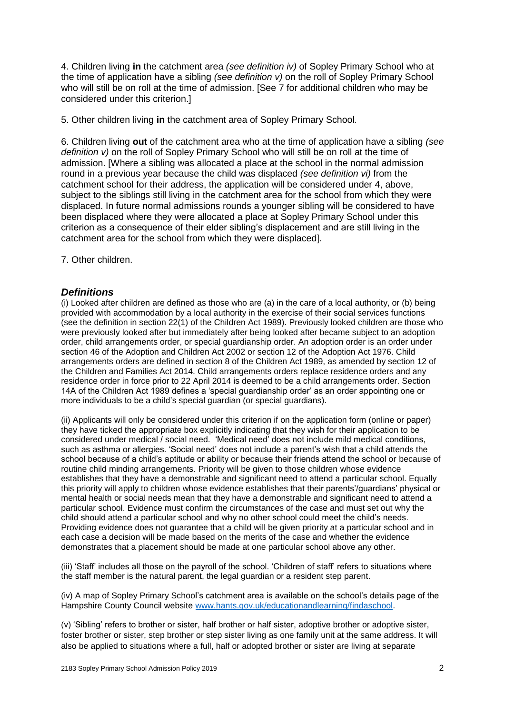4. Children living **in** the catchment area *(see definition iv)* of Sopley Primary School who at the time of application have a sibling *(see definition v)* on the roll of Sopley Primary School who will still be on roll at the time of admission. [See 7 for additional children who may be considered under this criterion.]

5. Other children living **in** the catchment area of Sopley Primary School*.*

6. Children living **out** of the catchment area who at the time of application have a sibling *(see definition v)* on the roll of Sopley Primary School who will still be on roll at the time of admission. [Where a sibling was allocated a place at the school in the normal admission round in a previous year because the child was displaced *(see definition vi)* from the catchment school for their address, the application will be considered under 4, above, subject to the siblings still living in the catchment area for the school from which they were displaced. In future normal admissions rounds a younger sibling will be considered to have been displaced where they were allocated a place at Sopley Primary School under this criterion as a consequence of their elder sibling's displacement and are still living in the catchment area for the school from which they were displaced].

7. Other children.

# *Definitions*

(i) Looked after children are defined as those who are (a) in the care of a local authority, or (b) being provided with accommodation by a local authority in the exercise of their social services functions (see the definition in section 22(1) of the Children Act 1989). Previously looked children are those who were previously looked after but immediately after being looked after became subject to an adoption order, child arrangements order, or special guardianship order. An adoption order is an order under section 46 of the Adoption and Children Act 2002 or section 12 of the Adoption Act 1976. Child arrangements orders are defined in section 8 of the Children Act 1989, as amended by section 12 of the Children and Families Act 2014. Child arrangements orders replace residence orders and any residence order in force prior to 22 April 2014 is deemed to be a child arrangements order. Section 14A of the Children Act 1989 defines a 'special guardianship order' as an order appointing one or more individuals to be a child's special guardian (or special guardians).

(ii) Applicants will only be considered under this criterion if on the application form (online or paper) they have ticked the appropriate box explicitly indicating that they wish for their application to be considered under medical / social need. 'Medical need' does not include mild medical conditions, such as asthma or allergies. 'Social need' does not include a parent's wish that a child attends the school because of a child's aptitude or ability or because their friends attend the school or because of routine child minding arrangements. Priority will be given to those children whose evidence establishes that they have a demonstrable and significant need to attend a particular school. Equally this priority will apply to children whose evidence establishes that their parents'/guardians' physical or mental health or social needs mean that they have a demonstrable and significant need to attend a particular school. Evidence must confirm the circumstances of the case and must set out why the child should attend a particular school and why no other school could meet the child's needs. Providing evidence does not guarantee that a child will be given priority at a particular school and in each case a decision will be made based on the merits of the case and whether the evidence demonstrates that a placement should be made at one particular school above any other.

(iii) 'Staff' includes all those on the payroll of the school. 'Children of staff' refers to situations where the staff member is the natural parent, the legal guardian or a resident step parent.

(iv) A map of Sopley Primary School's catchment area is available on the school's details page of the Hampshire County Council website [www.hants.gov.uk/educationandlearning/findaschool.](http://www.hants.gov.uk/educationandlearning/findaschool)

(v) 'Sibling' refers to brother or sister, half brother or half sister, adoptive brother or adoptive sister, foster brother or sister, step brother or step sister living as one family unit at the same address. It will also be applied to situations where a full, half or adopted brother or sister are living at separate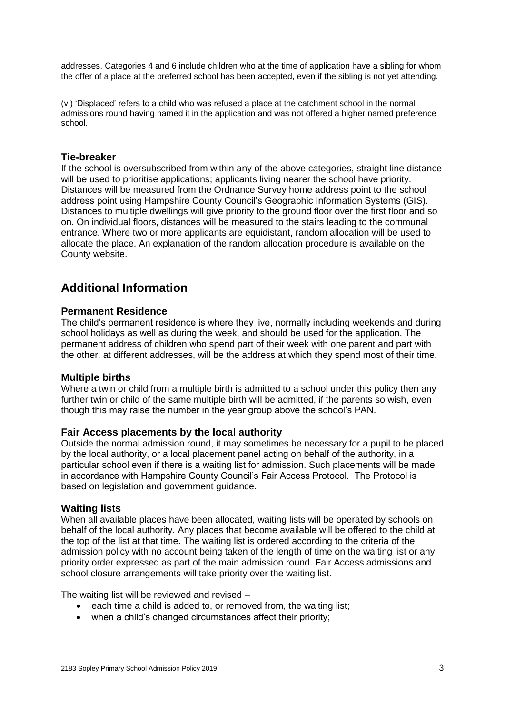addresses. Categories 4 and 6 include children who at the time of application have a sibling for whom the offer of a place at the preferred school has been accepted, even if the sibling is not yet attending.

(vi) 'Displaced' refers to a child who was refused a place at the catchment school in the normal admissions round having named it in the application and was not offered a higher named preference school.

#### **Tie-breaker**

If the school is oversubscribed from within any of the above categories, straight line distance will be used to prioritise applications; applicants living nearer the school have priority. Distances will be measured from the Ordnance Survey home address point to the school address point using Hampshire County Council's Geographic Information Systems (GIS). Distances to multiple dwellings will give priority to the ground floor over the first floor and so on. On individual floors, distances will be measured to the stairs leading to the communal entrance. Where two or more applicants are equidistant, random allocation will be used to allocate the place. An explanation of the random allocation procedure is available on the County website.

# **Additional Information**

#### **Permanent Residence**

The child's permanent residence is where they live, normally including weekends and during school holidays as well as during the week, and should be used for the application. The permanent address of children who spend part of their week with one parent and part with the other, at different addresses, will be the address at which they spend most of their time.

#### **Multiple births**

Where a twin or child from a multiple birth is admitted to a school under this policy then any further twin or child of the same multiple birth will be admitted, if the parents so wish, even though this may raise the number in the year group above the school's PAN.

#### **Fair Access placements by the local authority**

Outside the normal admission round, it may sometimes be necessary for a pupil to be placed by the local authority, or a local placement panel acting on behalf of the authority, in a particular school even if there is a waiting list for admission. Such placements will be made in accordance with Hampshire County Council's Fair Access Protocol. The Protocol is based on legislation and government guidance.

#### **Waiting lists**

When all available places have been allocated, waiting lists will be operated by schools on behalf of the local authority. Any places that become available will be offered to the child at the top of the list at that time. The waiting list is ordered according to the criteria of the admission policy with no account being taken of the length of time on the waiting list or any priority order expressed as part of the main admission round. Fair Access admissions and school closure arrangements will take priority over the waiting list.

The waiting list will be reviewed and revised –

- each time a child is added to, or removed from, the waiting list;
- when a child's changed circumstances affect their priority;